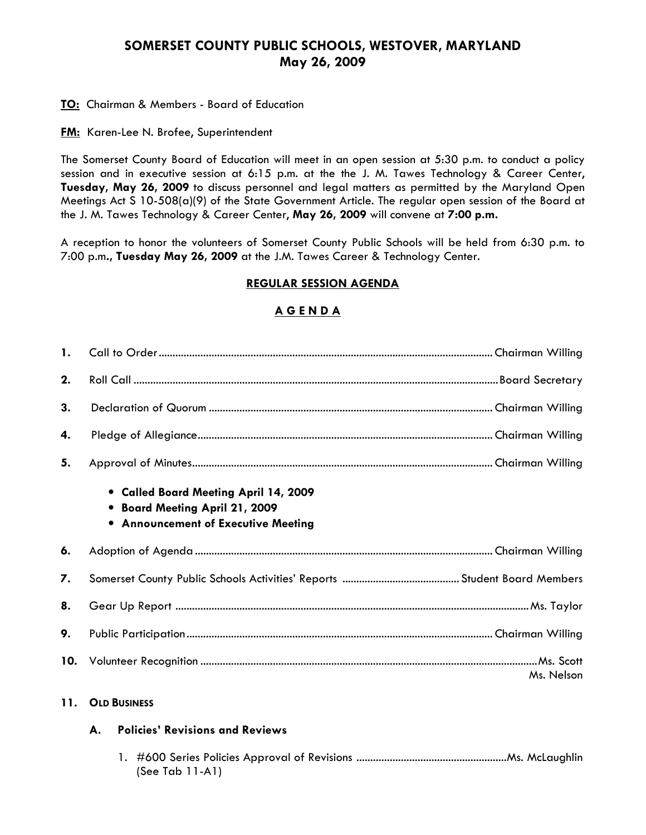## SOMERSET COUNTY PUBLIC SCHOOLS, WESTOVER, MARYLAND May 26, 2009

**TO:** Chairman & Members - Board of Education

**FM:** Karen-Lee N. Brofee, Superintendent

The Somerset County Board of Education will meet in an open session at 5:30 p.m. to conduct a policy session and in executive session at 6:15 p.m. at the the J. M. Tawes Technology & Career Center, Tuesday, May 26, 2009 to discuss personnel and legal matters as permitted by the Maryland Open Meetings Act S 10-508(a)(9) of the State Government Article. The regular open session of the Board at the J. M. Tawes Technology & Career Center, May 26, 2009 will convene at 7:00 p.m.

A reception to honor the volunteers of Somerset County Public Schools will be held from 6:30 p.m. to 7:00 p.m., Tuesday May 26, 2009 at the J.M. Tawes Career & Technology Center.

## REGULAR SESSION AGENDA

## A G E N D A

| $\mathbf{1}$ . |                                                                                                                |
|----------------|----------------------------------------------------------------------------------------------------------------|
| 2.             |                                                                                                                |
| 3.             |                                                                                                                |
| 4.             |                                                                                                                |
| 5.             |                                                                                                                |
|                | • Called Board Meeting April 14, 2009<br>• Board Meeting April 21, 2009<br>• Announcement of Executive Meeting |
| 6.             |                                                                                                                |
| 7.             |                                                                                                                |
| 8.             |                                                                                                                |
| 9.             |                                                                                                                |
| 10.            | Ms. Nelson                                                                                                     |

### 11. OLD BUSINESS

#### A. Policies' Revisions and Reviews

 1. #600 Series Policies Approval of Revisions ......................................................Ms. McLaughlin (See Tab 11-A1)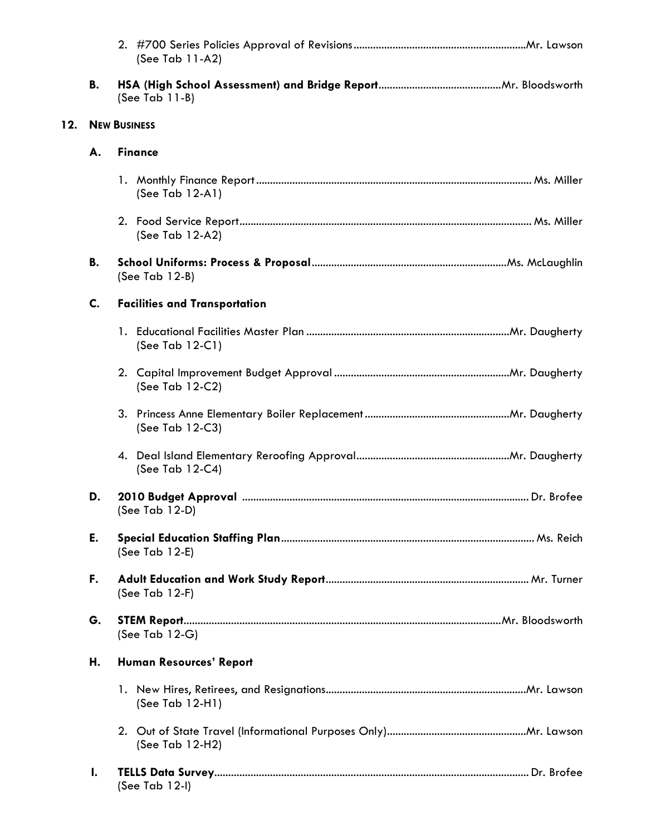|                                                    |                                            | (See Tab 11-A2)                |  |  |  |
|----------------------------------------------------|--------------------------------------------|--------------------------------|--|--|--|
|                                                    | В.                                         | (See Tab $11-B$ )              |  |  |  |
| 12.                                                |                                            | <b>NEW BUSINESS</b>            |  |  |  |
|                                                    | А.                                         | <b>Finance</b>                 |  |  |  |
|                                                    |                                            | (See Tab 12-A1)                |  |  |  |
|                                                    |                                            | (See Tab 12-A2)                |  |  |  |
| В.<br>(See Tab $12-B$ )                            |                                            |                                |  |  |  |
|                                                    | C.<br><b>Facilities and Transportation</b> |                                |  |  |  |
|                                                    |                                            | (See Tab 12-C1)                |  |  |  |
|                                                    |                                            | (See Tab 12-C2)                |  |  |  |
|                                                    |                                            | (See Tab 12-C3)                |  |  |  |
|                                                    |                                            | (See Tab 12-C4)                |  |  |  |
| D.<br>(See Tab $12-D$ )<br>E.<br>(See Tab $12-E$ ) |                                            |                                |  |  |  |
|                                                    |                                            |                                |  |  |  |
|                                                    | F.                                         | (See Tab 12-F)                 |  |  |  |
|                                                    | G.                                         | (See Tab $12-G$ )              |  |  |  |
|                                                    | Н.                                         | <b>Human Resources' Report</b> |  |  |  |
|                                                    |                                            | (See Tab $12-H1$ )             |  |  |  |
|                                                    |                                            | (See Tab 12-H2)                |  |  |  |
|                                                    | $\mathbf{I}$ .                             | (See Tab 12-I)                 |  |  |  |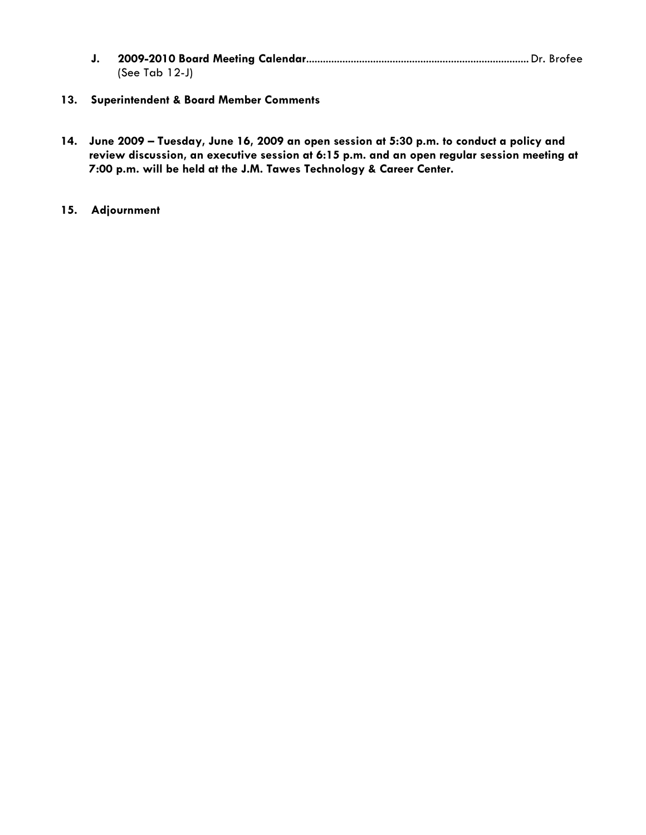- J. 2009-2010 Board Meeting Calendar................................................................................ Dr. Brofee (See Tab 12-J)
- 13. Superintendent & Board Member Comments
- 14. June 2009 Tuesday, June 16, 2009 an open session at 5:30 p.m. to conduct a policy and review discussion, an executive session at 6:15 p.m. and an open regular session meeting at 7:00 p.m. will be held at the J.M. Tawes Technology & Career Center.
- 15. Adjournment